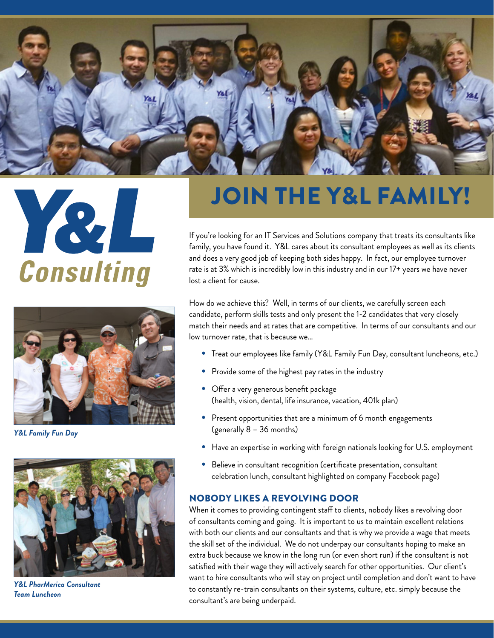





*Y&L Family Fun Day*



*Y&L PharMerica Consultant Team Luncheon*

# JOIN THE Y&L FAMILY!

If you're looking for an IT Services and Solutions company that treats its consultants like family, you have found it. Y&L cares about its consultant employees as well as its clients and does a very good job of keeping both sides happy. In fact, our employee turnover rate is at 3% which is incredibly low in this industry and in our 17+ years we have never lost a client for cause.

How do we achieve this? Well, in terms of our clients, we carefully screen each candidate, perform skills tests and only present the 1-2 candidates that very closely match their needs and at rates that are competitive. In terms of our consultants and our low turnover rate, that is because we…

- Treat our employees like family (Y&L Family Fun Day, consultant luncheons, etc.)
- Provide some of the highest pay rates in the industry
- Offer a very generous benefit package (health, vision, dental, life insurance, vacation, 401k plan)
- Present opportunities that are a minimum of 6 month engagements (generally 8 – 36 months)
- Have an expertise in working with foreign nationals looking for U.S. employment
- Believe in consultant recognition (certificate presentation, consultant celebration lunch, consultant highlighted on company Facebook page)

### NOBODY LIKES A REVOLVING DOOR

When it comes to providing contingent staff to clients, nobody likes a revolving door of consultants coming and going. It is important to us to maintain excellent relations with both our clients and our consultants and that is why we provide a wage that meets the skill set of the individual. We do not underpay our consultants hoping to make an extra buck because we know in the long run (or even short run) if the consultant is not satisfied with their wage they will actively search for other opportunities. Our client's want to hire consultants who will stay on project until completion and don't want to have to constantly re-train consultants on their systems, culture, etc. simply because the consultant's are being underpaid.